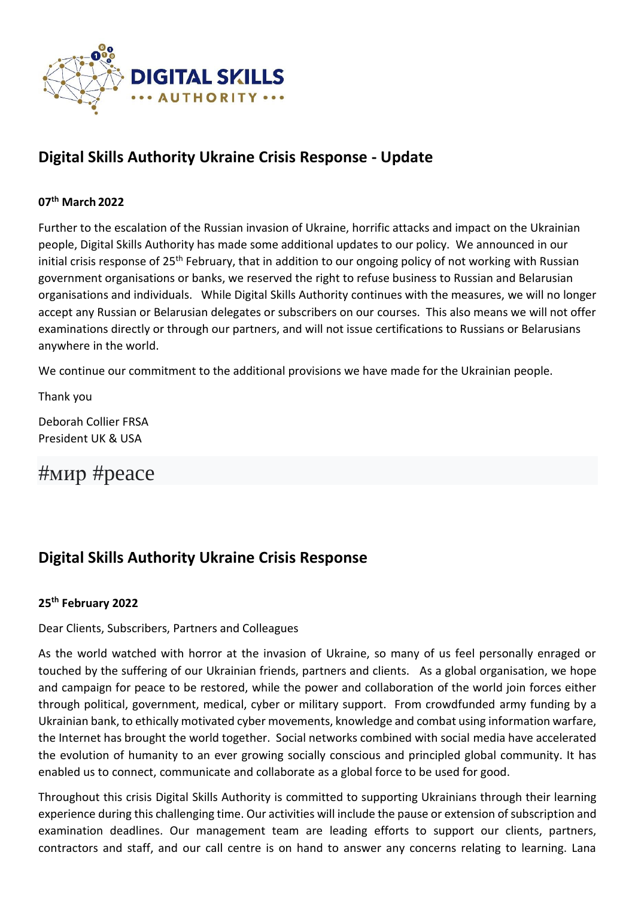

## **Digital Skills Authority Ukraine Crisis Response - Update**

#### **07th March 2022**

Further to the escalation of the Russian invasion of Ukraine, horrific attacks and impact on the Ukrainian people, Digital Skills Authority has made some additional updates to our policy. We announced in our initial crisis response of 25<sup>th</sup> February, that in addition to our ongoing policy of not working with Russian government organisations or banks, we reserved the right to refuse business to Russian and Belarusian organisations and individuals. While Digital Skills Authority continues with the measures, we will no longer accept any Russian or Belarusian delegates or subscribers on our courses. This also means we will not offer examinations directly or through our partners, and will not issue certifications to Russians or Belarusians anywhere in the world.

We continue our commitment to the additional provisions we have made for the Ukrainian people.

Thank you

Deborah Collier FRSA President UK & USA

#мир #peace

### **Digital Skills Authority Ukraine Crisis Response**

#### **25th February 2022**

#### Dear Clients, Subscribers, Partners and Colleagues

As the world watched with horror at the invasion of Ukraine, so many of us feel personally enraged or touched by the suffering of our Ukrainian friends, partners and clients. As a global organisation, we hope and campaign for peace to be restored, while the power and collaboration of the world join forces either through political, government, medical, cyber or military support. From crowdfunded army funding by a Ukrainian bank, to ethically motivated cyber movements, knowledge and combat using information warfare, the Internet has brought the world together. Social networks combined with social media have accelerated the evolution of humanity to an ever growing socially conscious and principled global community. It has enabled us to connect, communicate and collaborate as a global force to be used for good.

Throughout this crisis Digital Skills Authority is committed to supporting Ukrainians through their learning experience during this challenging time. Our activities will include the pause or extension of subscription and examination deadlines. Our management team are leading efforts to support our clients, partners, contractors and staff, and our call centre is on hand to answer any concerns relating to learning. Lana